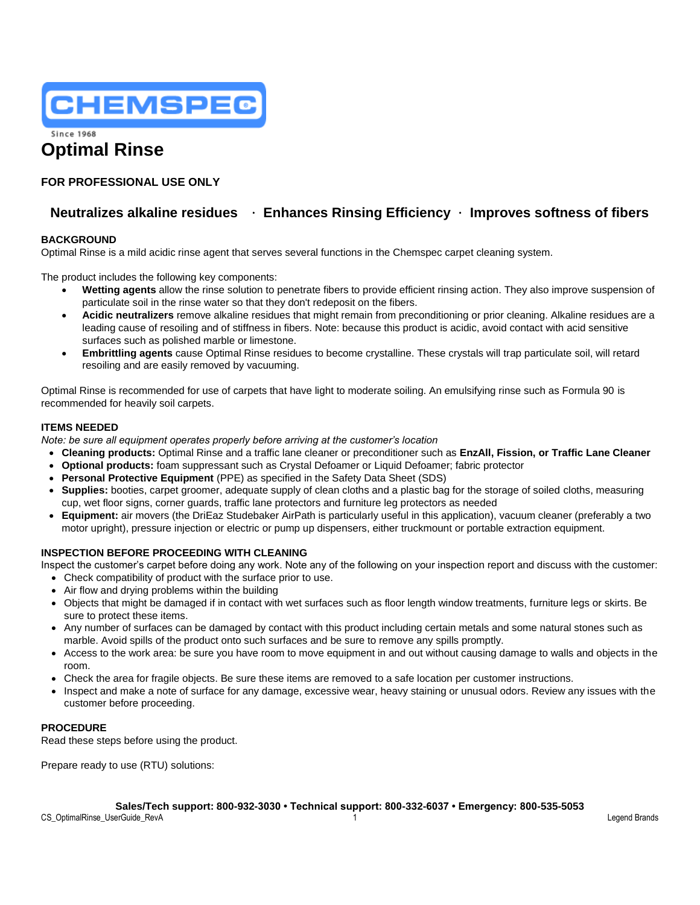

**Since 1968** 

# **Optimal Rinse**

### **FOR PROFESSIONAL USE ONLY**

## **Neutralizes alkaline residues** • **Enhances Rinsing Efficiency** • **Improves softness of fibers**

#### **BACKGROUND**

Optimal Rinse is a mild acidic rinse agent that serves several functions in the Chemspec carpet cleaning system.

The product includes the following key components:

- **Wetting agents** allow the rinse solution to penetrate fibers to provide efficient rinsing action. They also improve suspension of particulate soil in the rinse water so that they don't redeposit on the fibers.
- **Acidic neutralizers** remove alkaline residues that might remain from preconditioning or prior cleaning. Alkaline residues are a leading cause of resoiling and of stiffness in fibers. Note: because this product is acidic, avoid contact with acid sensitive surfaces such as polished marble or limestone.
- **Embrittling agents** cause Optimal Rinse residues to become crystalline. These crystals will trap particulate soil, will retard resoiling and are easily removed by vacuuming.

Optimal Rinse is recommended for use of carpets that have light to moderate soiling. An emulsifying rinse such as Formula 90 is recommended for heavily soil carpets.

#### **ITEMS NEEDED**

*Note: be sure all equipment operates properly before arriving at the customer's location*

- **Cleaning products:** Optimal Rinse and a traffic lane cleaner or preconditioner such as **EnzAll, Fission, or Traffic Lane Cleaner**
- **Optional products:** foam suppressant such as Crystal Defoamer or Liquid Defoamer; fabric protector
- **Personal Protective Equipment** (PPE) as specified in the Safety Data Sheet (SDS)
- **Supplies:** booties, carpet groomer, adequate supply of clean cloths and a plastic bag for the storage of soiled cloths, measuring cup, wet floor signs, corner guards, traffic lane protectors and furniture leg protectors as needed
- **Equipment:** air movers (the DriEaz Studebaker AirPath is particularly useful in this application), vacuum cleaner (preferably a two motor upright), pressure injection or electric or pump up dispensers, either truckmount or portable extraction equipment.

#### **INSPECTION BEFORE PROCEEDING WITH CLEANING**

Inspect the customer's carpet before doing any work. Note any of the following on your inspection report and discuss with the customer:

- Check compatibility of product with the surface prior to use.
- Air flow and drying problems within the building
- Objects that might be damaged if in contact with wet surfaces such as floor length window treatments, furniture legs or skirts. Be sure to protect these items.
- Any number of surfaces can be damaged by contact with this product including certain metals and some natural stones such as marble. Avoid spills of the product onto such surfaces and be sure to remove any spills promptly.
- Access to the work area: be sure you have room to move equipment in and out without causing damage to walls and objects in the room.
- Check the area for fragile objects. Be sure these items are removed to a safe location per customer instructions.
- Inspect and make a note of surface for any damage, excessive wear, heavy staining or unusual odors. Review any issues with the customer before proceeding.

#### **PROCEDURE**

Read these steps before using the product.

Prepare ready to use (RTU) solutions:

**Sales/Tech support: 800-932-3030 • Technical support: 800-332-6037 • Emergency: 800-535-5053**

CS\_OptimalRinse\_UserGuide\_RevA 1 Legend Brands